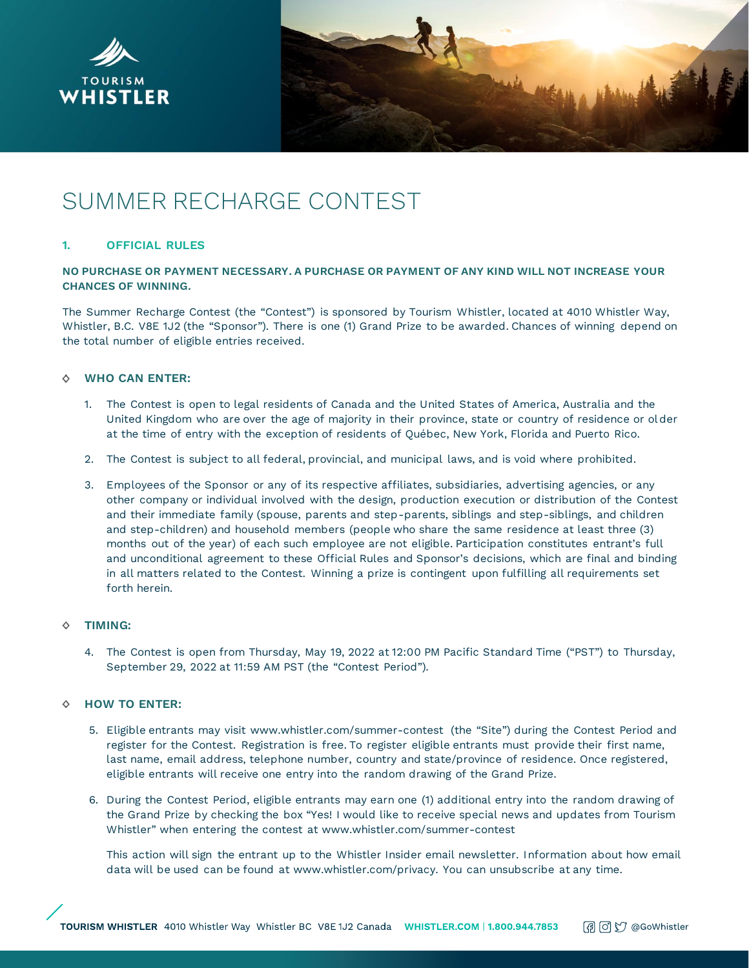



# SUMMER RECHARGE CONTEST

## **1. OFFICIAL RULES**

## **NO PURCHASE OR PAYMENT NECESSARY. A PURCHASE OR PAYMENT OF ANY KIND WILL NOT INCREASE YOUR CHANCES OF WINNING.**

The Summer Recharge Contest (the "Contest") is sponsored by Tourism Whistler, located at 4010 Whistler Way, Whistler, B.C. V8E 1J2 (the "Sponsor"). There is one (1) Grand Prize to be awarded. Chances of winning depend on the total number of eligible entries received.

## **WHO CAN ENTER:**

- 1. The Contest is open to legal residents of Canada and the United States of America, Australia and the United Kingdom who are over the age of majority in their province, state or country of residence or older at the time of entry with the exception of residents of Québec, New York, Florida and Puerto Rico.
- 2. The Contest is subject to all federal, provincial, and municipal laws, and is void where prohibited.
- 3. Employees of the Sponsor or any of its respective affiliates, subsidiaries, advertising agencies, or any other company or individual involved with the design, production execution or distribution of the Contest and their immediate family (spouse, parents and step-parents, siblings and step-siblings, and children and step-children) and household members (people who share the same residence at least three (3) months out of the year) of each such employee are not eligible. Participation constitutes entrant's full and unconditional agreement to these Official Rules and Sponsor's decisions, which are final and binding in all matters related to the Contest. Winning a prize is contingent upon fulfilling all requirements set forth herein.

#### **TIMING:** ♦

4. The Contest is open from Thursday, May 19, 2022 at 12:00 PM Pacific Standard Time ("PST") to Thursday, September 29, 2022 at 11:59 AM PST (the "Contest Period").

#### ♦ **HOW TO ENTER:**

- 5. Eligible entrants may visit www.whistler.com/summer-contest (the "Site") during the Contest Period and register for the Contest. Registration is free. To register eligible entrants must provide their first name, last name, email address, telephone number, country and state/province of residence. Once registered, eligible entrants will receive one entry into the random drawing of the Grand Prize.
- 6. During the Contest Period, eligible entrants may earn one (1) additional entry into the random drawing of the Grand Prize by checking the box "Yes! I would like to receive special news and updates from Tourism Whistler" when entering the contest at www.whistler.com/summer-contest

This action will sign the entrant up to the Whistler Insider email newsletter. Information about how email data will be used can be found at www.whistler.com/privacy. You can unsubscribe at any time.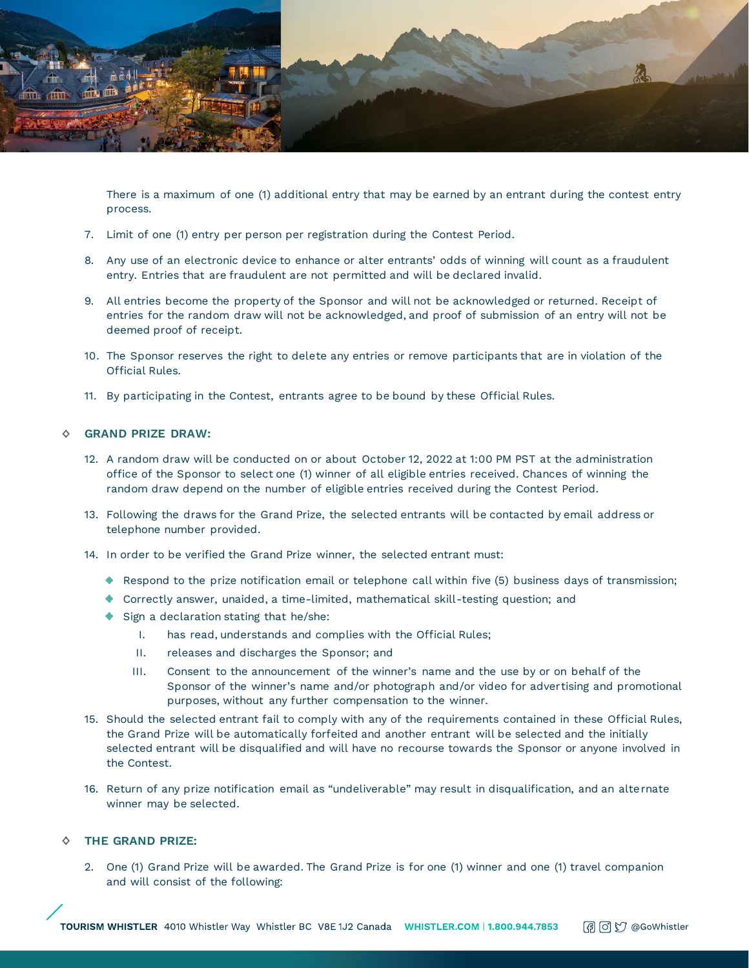

There is a maximum of one (1) additional entry that may be earned by an entrant during the contest entry process.

- 7. Limit of one (1) entry per person per registration during the Contest Period.
- 8. Any use of an electronic device to enhance or alter entrants' odds of winning will count as a fraudulent entry. Entries that are fraudulent are not permitted and will be declared invalid.
- 9. All entries become the property of the Sponsor and will not be acknowledged or returned. Receipt of entries for the random draw will not be acknowledged, and proof of submission of an entry will not be deemed proof of receipt.
- 10. The Sponsor reserves the right to delete any entries or remove participants that are in violation of the Official Rules.
- 11. By participating in the Contest, entrants agree to be bound by these Official Rules.

#### **GRAND PRIZE DRAW:** ♦

- 12. A random draw will be conducted on or about October 12, 2022 at 1:00 PM PST at the administration office of the Sponsor to select one (1) winner of all eligible entries received. Chances of winning the random draw depend on the number of eligible entries received during the Contest Period.
- 13. Following the draws for the Grand Prize, the selected entrants will be contacted by email address or telephone number provided.
- 14. In order to be verified the Grand Prize winner, the selected entrant must:
	- $\bullet$  Respond to the prize notification email or telephone call within five (5) business days of transmission;
	- Correctly answer, unaided, a time-limited, mathematical skill-testing question; and
	- ◆ Sign a declaration stating that he/she:
		- I. has read, understands and complies with the Official Rules;
		- II. releases and discharges the Sponsor; and
		- III. Consent to the announcement of the winner's name and the use by or on behalf of the Sponsor of the winner's name and/or photograph and/or video for advertising and promotional purposes, without any further compensation to the winner.
- 15. Should the selected entrant fail to comply with any of the requirements contained in these Official Rules, the Grand Prize will be automatically forfeited and another entrant will be selected and the initially selected entrant will be disqualified and will have no recourse towards the Sponsor or anyone involved in the Contest.
- 16. Return of any prize notification email as "undeliverable" may result in disqualification, and an alternate winner may be selected.

## **THE GRAND PRIZE:**

2. One (1) Grand Prize will be awarded. The Grand Prize is for one (1) winner and one (1) travel companion and will consist of the following: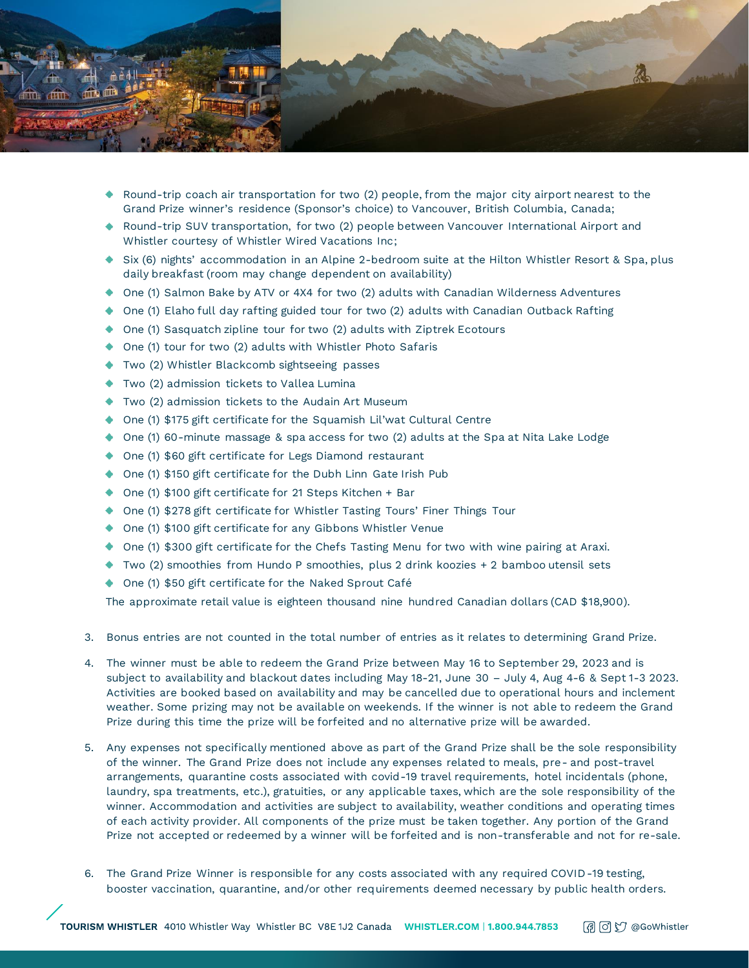

- Round-trip coach air transportation for two (2) people, from the major city airport nearest to the Grand Prize winner's residence (Sponsor's choice) to Vancouver, British Columbia, Canada;
- ◆ Round-trip SUV transportation, for two (2) people between Vancouver International Airport and Whistler courtesy of Whistler Wired Vacations Inc;
- ◆ Six (6) nights' accommodation in an Alpine 2-bedroom suite at the Hilton Whistler Resort & Spa, plus daily breakfast (room may change dependent on availability)
- One (1) Salmon Bake by ATV or 4X4 for two (2) adults with Canadian Wilderness Adventures
- $\bullet$  One (1) Elaho full day rafting guided tour for two (2) adults with Canadian Outback Rafting
- ◆ One (1) Sasquatch zipline tour for two (2) adults with Ziptrek Ecotours
- ◆ One (1) tour for two (2) adults with Whistler Photo Safaris
- ◆ Two (2) Whistler Blackcomb sightseeing passes
- Two (2) admission tickets to Vallea Lumina
- Two (2) admission tickets to the Audain Art Museum
- ◆ One (1) \$175 gift certificate for the Squamish Lil'wat Cultural Centre
- One (1) 60-minute massage & spa access for two (2) adults at the Spa at Nita Lake Lodge
- ◆ One (1) \$60 gift certificate for Legs Diamond restaurant
- ◆ One (1) \$150 gift certificate for the Dubh Linn Gate Irish Pub
- ◆ One (1) \$100 gift certificate for 21 Steps Kitchen + Bar
- ◆ One (1) \$278 gift certificate for Whistler Tasting Tours' Finer Things Tour
- ◆ One (1) \$100 gift certificate for any Gibbons Whistler Venue
- ◆ One (1) \$300 gift certificate for the Chefs Tasting Menu for two with wine pairing at Araxi.
- Two (2) smoothies from Hundo P smoothies, plus 2 drink koozies + 2 bamboo utensil sets
- ◆ One (1) \$50 gift certificate for the Naked Sprout Café

The approximate retail value is eighteen thousand nine hundred Canadian dollars (CAD \$18,900).

- 3. Bonus entries are not counted in the total number of entries as it relates to determining Grand Prize.
- 4. The winner must be able to redeem the Grand Prize between May 16 to September 29, 2023 and is subject to availability and blackout dates including May 18-21, June 30 – July 4, Aug 4-6 & Sept 1-3 2023. Activities are booked based on availability and may be cancelled due to operational hours and inclement weather. Some prizing may not be available on weekends. If the winner is not able to redeem the Grand Prize during this time the prize will be forfeited and no alternative prize will be awarded.
- 5. Any expenses not specifically mentioned above as part of the Grand Prize shall be the sole responsibility of the winner. The Grand Prize does not include any expenses related to meals, pre- and post-travel arrangements, quarantine costs associated with covid-19 travel requirements, hotel incidentals (phone, laundry, spa treatments, etc.), gratuities, or any applicable taxes, which are the sole responsibility of the winner. Accommodation and activities are subject to availability, weather conditions and operating times of each activity provider. All components of the prize must be taken together. Any portion of the Grand Prize not accepted or redeemed by a winner will be forfeited and is non-transferable and not for re-sale.
- 6. The Grand Prize Winner is responsible for any costs associated with any required COVID-19 testing, booster vaccination, quarantine, and/or other requirements deemed necessary by public health orders.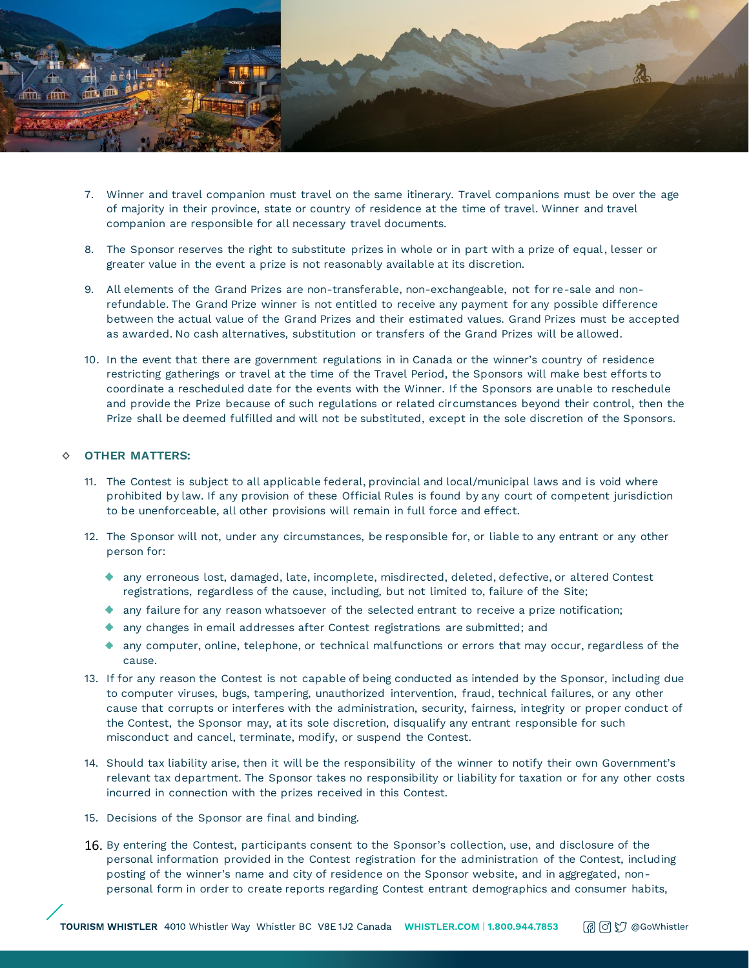

- 7. Winner and travel companion must travel on the same itinerary. Travel companions must be over the age of majority in their province, state or country of residence at the time of travel. Winner and travel companion are responsible for all necessary travel documents.
- 8. The Sponsor reserves the right to substitute prizes in whole or in part with a prize of equal, lesser or greater value in the event a prize is not reasonably available at its discretion.
- 9. All elements of the Grand Prizes are non-transferable, non-exchangeable, not for re-sale and nonrefundable. The Grand Prize winner is not entitled to receive any payment for any possible difference between the actual value of the Grand Prizes and their estimated values. Grand Prizes must be accepted as awarded. No cash alternatives, substitution or transfers of the Grand Prizes will be allowed.
- 10. In the event that there are government regulations in in Canada or the winner's country of residence restricting gatherings or travel at the time of the Travel Period, the Sponsors will make best efforts to coordinate a rescheduled date for the events with the Winner. If the Sponsors are unable to reschedule and provide the Prize because of such regulations or related circumstances beyond their control, then the Prize shall be deemed fulfilled and will not be substituted, except in the sole discretion of the Sponsors.

### **OTHER MATTERS:**

- 11. The Contest is subject to all applicable federal, provincial and local/municipal laws and is void where prohibited by law. If any provision of these Official Rules is found by any court of competent jurisdiction to be unenforceable, all other provisions will remain in full force and effect.
- 12. The Sponsor will not, under any circumstances, be responsible for, or liable to any entrant or any other person for:
	- any erroneous lost, damaged, late, incomplete, misdirected, deleted, defective, or altered Contest registrations, regardless of the cause, including, but not limited to, failure of the Site;
	- any failure for any reason whatsoever of the selected entrant to receive a prize notification;
	- any changes in email addresses after Contest registrations are submitted; and
	- any computer, online, telephone, or technical malfunctions or errors that may occur, regardless of the cause.
- 13. If for any reason the Contest is not capable of being conducted as intended by the Sponsor, including due to computer viruses, bugs, tampering, unauthorized intervention, fraud, technical failures, or any other cause that corrupts or interferes with the administration, security, fairness, integrity or proper conduct of the Contest, the Sponsor may, at its sole discretion, disqualify any entrant responsible for such misconduct and cancel, terminate, modify, or suspend the Contest.
- 14. Should tax liability arise, then it will be the responsibility of the winner to notify their own Government's relevant tax department. The Sponsor takes no responsibility or liability for taxation or for any other costs incurred in connection with the prizes received in this Contest.
- 15. Decisions of the Sponsor are final and binding.
- 16. By entering the Contest, participants consent to the Sponsor's collection, use, and disclosure of the personal information provided in the Contest registration for the administration of the Contest, including posting of the winner's name and city of residence on the Sponsor website, and in aggregated, nonpersonal form in order to create reports regarding Contest entrant demographics and consumer habits,